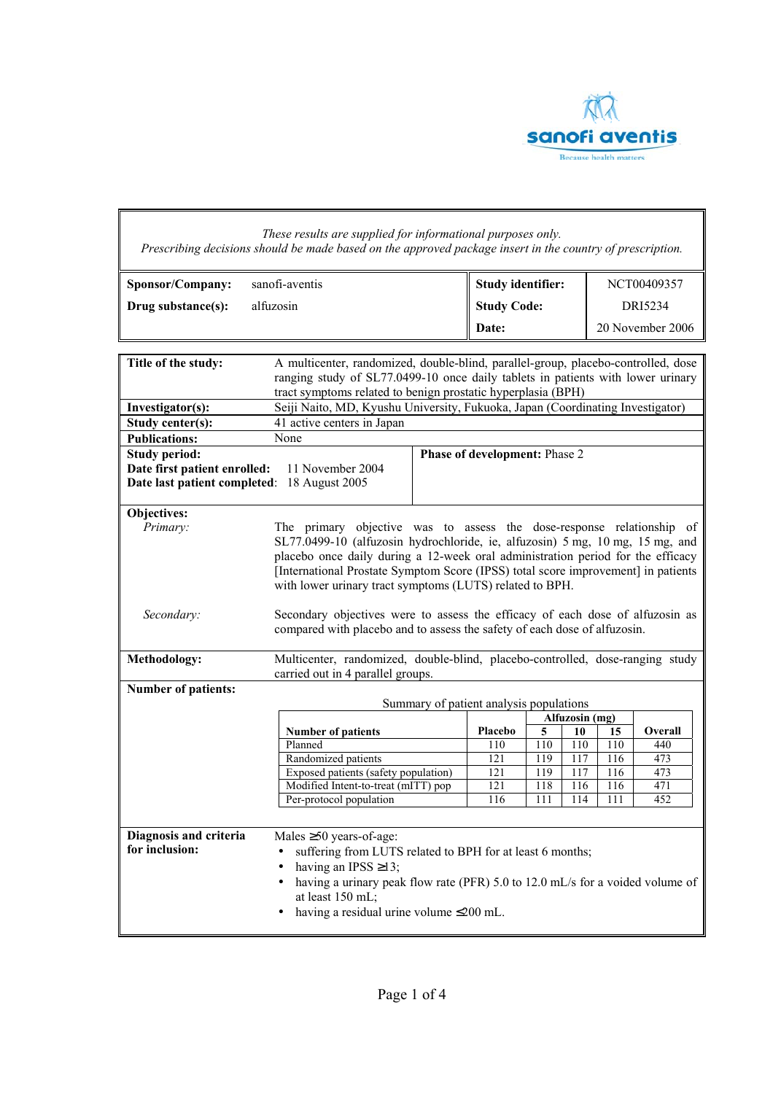

|                                                                                                                                                                                                                                                             | These results are supplied for informational purposes only.<br>Prescribing decisions should be made based on the approved package insert in the country of prescription.                                                                                                                                                                                                                   |                          |                |                  |            |                |
|-------------------------------------------------------------------------------------------------------------------------------------------------------------------------------------------------------------------------------------------------------------|--------------------------------------------------------------------------------------------------------------------------------------------------------------------------------------------------------------------------------------------------------------------------------------------------------------------------------------------------------------------------------------------|--------------------------|----------------|------------------|------------|----------------|
| Sponsor/Company:                                                                                                                                                                                                                                            | sanofi-aventis                                                                                                                                                                                                                                                                                                                                                                             | <b>Study identifier:</b> |                |                  |            | NCT00409357    |
| Drug substance(s):                                                                                                                                                                                                                                          | alfuzosin                                                                                                                                                                                                                                                                                                                                                                                  | <b>Study Code:</b>       |                |                  |            | DRI5234        |
|                                                                                                                                                                                                                                                             |                                                                                                                                                                                                                                                                                                                                                                                            | Date:                    |                | 20 November 2006 |            |                |
|                                                                                                                                                                                                                                                             |                                                                                                                                                                                                                                                                                                                                                                                            |                          |                |                  |            |                |
| Title of the study:<br>A multicenter, randomized, double-blind, parallel-group, placebo-controlled, dose<br>ranging study of SL77.0499-10 once daily tablets in patients with lower urinary<br>tract symptoms related to benign prostatic hyperplasia (BPH) |                                                                                                                                                                                                                                                                                                                                                                                            |                          |                |                  |            |                |
| Investigator(s):                                                                                                                                                                                                                                            | Seiji Naito, MD, Kyushu University, Fukuoka, Japan (Coordinating Investigator)                                                                                                                                                                                                                                                                                                             |                          |                |                  |            |                |
| Study center(s):<br><b>Publications:</b>                                                                                                                                                                                                                    | 41 active centers in Japan<br>None                                                                                                                                                                                                                                                                                                                                                         |                          |                |                  |            |                |
| <b>Phase of development: Phase 2</b><br><b>Study period:</b><br>Date first patient enrolled:<br>11 November 2004<br>Date last patient completed: 18 August 2005                                                                                             |                                                                                                                                                                                                                                                                                                                                                                                            |                          |                |                  |            |                |
| Objectives:<br>Primary:                                                                                                                                                                                                                                     | The primary objective was to assess the dose-response relationship of<br>SL77.0499-10 (alfuzosin hydrochloride, ie, alfuzosin) 5 mg, 10 mg, 15 mg, and<br>placebo once daily during a 12-week oral administration period for the efficacy<br>[International Prostate Symptom Score (IPSS) total score improvement] in patients<br>with lower urinary tract symptoms (LUTS) related to BPH. |                          |                |                  |            |                |
| Secondary:<br>Methodology:                                                                                                                                                                                                                                  | Secondary objectives were to assess the efficacy of each dose of alfuzosin as<br>compared with placebo and to assess the safety of each dose of alfuzosin.<br>Multicenter, randomized, double-blind, placebo-controlled, dose-ranging study                                                                                                                                                |                          |                |                  |            |                |
|                                                                                                                                                                                                                                                             | carried out in 4 parallel groups.                                                                                                                                                                                                                                                                                                                                                          |                          |                |                  |            |                |
| Number of patients:                                                                                                                                                                                                                                         |                                                                                                                                                                                                                                                                                                                                                                                            |                          |                |                  |            |                |
|                                                                                                                                                                                                                                                             | Summary of patient analysis populations                                                                                                                                                                                                                                                                                                                                                    |                          | Alfuzosin (mg) |                  |            |                |
|                                                                                                                                                                                                                                                             | <b>Number of patients</b>                                                                                                                                                                                                                                                                                                                                                                  | Placebo                  | 5              | 10               | 15         | <b>Overall</b> |
|                                                                                                                                                                                                                                                             | Planned                                                                                                                                                                                                                                                                                                                                                                                    | 110                      | 110            | 110              | 110        | 440            |
|                                                                                                                                                                                                                                                             | Randomized patients                                                                                                                                                                                                                                                                                                                                                                        | 121                      | 119            | 117              | 116        | 473            |
|                                                                                                                                                                                                                                                             | Exposed patients (safety population)                                                                                                                                                                                                                                                                                                                                                       | 121<br>121               | 119<br>118     | 117<br>116       | 116<br>116 | 473<br>471     |
|                                                                                                                                                                                                                                                             | Modified Intent-to-treat (mITT) pop<br>Per-protocol population                                                                                                                                                                                                                                                                                                                             | 116                      | 111            | 114              | 111        | 452            |
|                                                                                                                                                                                                                                                             |                                                                                                                                                                                                                                                                                                                                                                                            |                          |                |                  |            |                |
| Diagnosis and criteria<br>for inclusion:                                                                                                                                                                                                                    | Males $\geq 50$ years-of-age:<br>suffering from LUTS related to BPH for at least 6 months;<br>having an IPSS $\geq$ 13;<br>having a urinary peak flow rate (PFR) 5.0 to 12.0 mL/s for a voided volume of<br>at least 150 mL;<br>having a residual urine volume ≤200 mL.                                                                                                                    |                          |                |                  |            |                |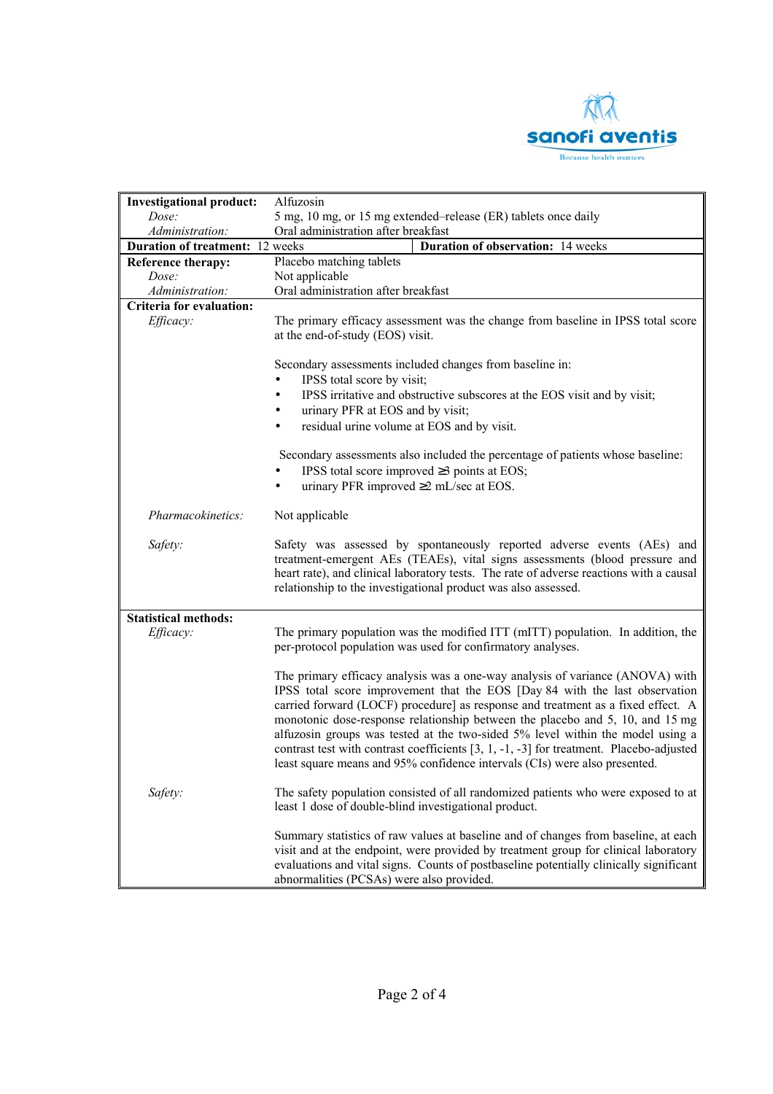

| <b>Investigational product:</b>                                                    | Alfuzosin                                                                                                                                                                                                                                                                                                                                                                                                                                                                                                                                                                                      |  |  |  |  |
|------------------------------------------------------------------------------------|------------------------------------------------------------------------------------------------------------------------------------------------------------------------------------------------------------------------------------------------------------------------------------------------------------------------------------------------------------------------------------------------------------------------------------------------------------------------------------------------------------------------------------------------------------------------------------------------|--|--|--|--|
| Dose:                                                                              | 5 mg, 10 mg, or 15 mg extended-release (ER) tablets once daily                                                                                                                                                                                                                                                                                                                                                                                                                                                                                                                                 |  |  |  |  |
| Administration:                                                                    | Oral administration after breakfast                                                                                                                                                                                                                                                                                                                                                                                                                                                                                                                                                            |  |  |  |  |
| <b>Duration of treatment:</b> 12 weeks<br><b>Duration of observation:</b> 14 weeks |                                                                                                                                                                                                                                                                                                                                                                                                                                                                                                                                                                                                |  |  |  |  |
| Reference therapy:                                                                 | Placebo matching tablets                                                                                                                                                                                                                                                                                                                                                                                                                                                                                                                                                                       |  |  |  |  |
| Dose:                                                                              | Not applicable                                                                                                                                                                                                                                                                                                                                                                                                                                                                                                                                                                                 |  |  |  |  |
| Administration:                                                                    | Oral administration after breakfast                                                                                                                                                                                                                                                                                                                                                                                                                                                                                                                                                            |  |  |  |  |
| <b>Criteria for evaluation:</b>                                                    |                                                                                                                                                                                                                                                                                                                                                                                                                                                                                                                                                                                                |  |  |  |  |
| Efficacy:                                                                          | The primary efficacy assessment was the change from baseline in IPSS total score<br>at the end-of-study (EOS) visit.                                                                                                                                                                                                                                                                                                                                                                                                                                                                           |  |  |  |  |
|                                                                                    | Secondary assessments included changes from baseline in:<br>IPSS total score by visit;<br>IPSS irritative and obstructive subscores at the EOS visit and by visit;<br>٠                                                                                                                                                                                                                                                                                                                                                                                                                        |  |  |  |  |
|                                                                                    | urinary PFR at EOS and by visit;<br>٠<br>residual urine volume at EOS and by visit.<br>$\bullet$                                                                                                                                                                                                                                                                                                                                                                                                                                                                                               |  |  |  |  |
|                                                                                    | Secondary assessments also included the percentage of patients whose baseline:<br>IPSS total score improved $\geq$ 3 points at EOS;<br>urinary PFR improved $\geq$ 2 mL/sec at EOS.<br>$\bullet$                                                                                                                                                                                                                                                                                                                                                                                               |  |  |  |  |
| Pharmacokinetics:                                                                  | Not applicable                                                                                                                                                                                                                                                                                                                                                                                                                                                                                                                                                                                 |  |  |  |  |
| Safety:                                                                            | Safety was assessed by spontaneously reported adverse events (AEs) and<br>treatment-emergent AEs (TEAEs), vital signs assessments (blood pressure and<br>heart rate), and clinical laboratory tests. The rate of adverse reactions with a causal<br>relationship to the investigational product was also assessed.                                                                                                                                                                                                                                                                             |  |  |  |  |
| <b>Statistical methods:</b>                                                        |                                                                                                                                                                                                                                                                                                                                                                                                                                                                                                                                                                                                |  |  |  |  |
| Efficacy:                                                                          | The primary population was the modified ITT (mITT) population. In addition, the<br>per-protocol population was used for confirmatory analyses.                                                                                                                                                                                                                                                                                                                                                                                                                                                 |  |  |  |  |
|                                                                                    | The primary efficacy analysis was a one-way analysis of variance (ANOVA) with<br>IPSS total score improvement that the EOS [Day 84 with the last observation<br>carried forward (LOCF) procedure] as response and treatment as a fixed effect. A<br>monotonic dose-response relationship between the placebo and 5, 10, and 15 mg<br>alfuzosin groups was tested at the two-sided 5% level within the model using a<br>contrast test with contrast coefficients $[3, 1, -1, -3]$ for treatment. Placebo-adjusted<br>least square means and 95% confidence intervals (CIs) were also presented. |  |  |  |  |
| Safety:                                                                            | The safety population consisted of all randomized patients who were exposed to at<br>least 1 dose of double-blind investigational product.                                                                                                                                                                                                                                                                                                                                                                                                                                                     |  |  |  |  |
|                                                                                    | Summary statistics of raw values at baseline and of changes from baseline, at each<br>visit and at the endpoint, were provided by treatment group for clinical laboratory<br>evaluations and vital signs. Counts of postbaseline potentially clinically significant<br>abnormalities (PCSAs) were also provided.                                                                                                                                                                                                                                                                               |  |  |  |  |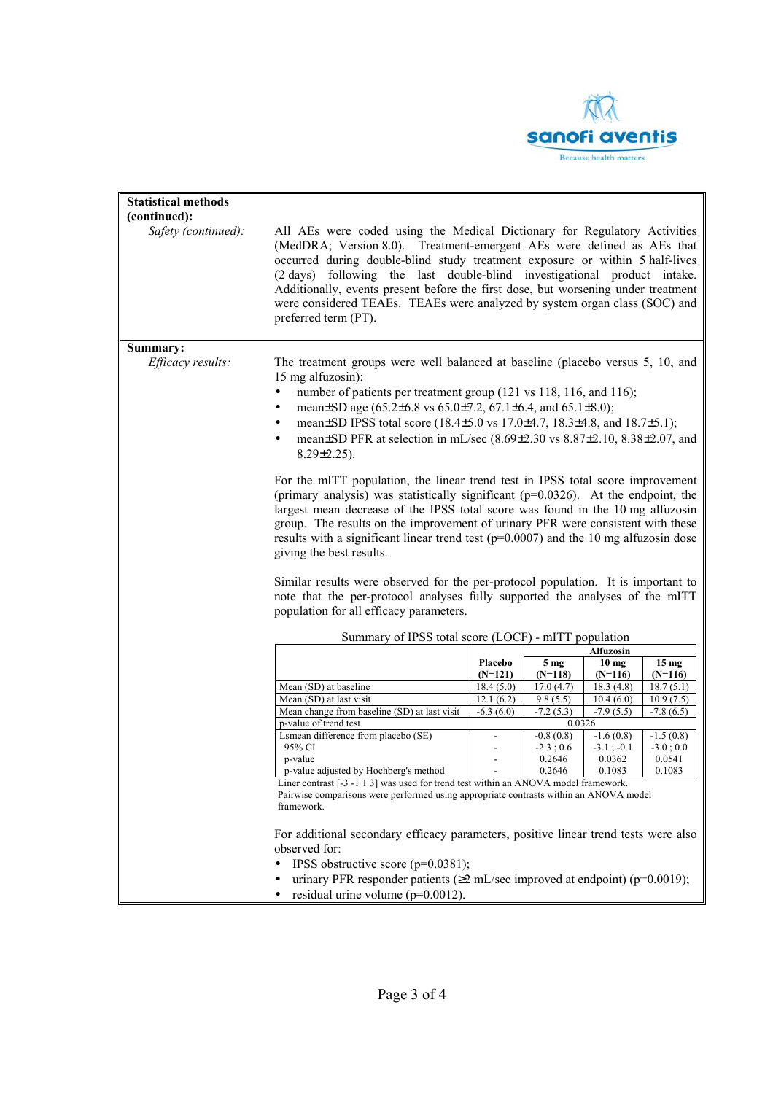

| <b>Statistical methods</b> |                                                                                                                                                                                                                                                                                                                                                                                                                                                                                                                                                                                                                                                                                                                                                                                                                                                                                                                                                                                                                                  |                      |                              |                                 |                  |  |
|----------------------------|----------------------------------------------------------------------------------------------------------------------------------------------------------------------------------------------------------------------------------------------------------------------------------------------------------------------------------------------------------------------------------------------------------------------------------------------------------------------------------------------------------------------------------------------------------------------------------------------------------------------------------------------------------------------------------------------------------------------------------------------------------------------------------------------------------------------------------------------------------------------------------------------------------------------------------------------------------------------------------------------------------------------------------|----------------------|------------------------------|---------------------------------|------------------|--|
| (continued):               |                                                                                                                                                                                                                                                                                                                                                                                                                                                                                                                                                                                                                                                                                                                                                                                                                                                                                                                                                                                                                                  |                      |                              |                                 |                  |  |
| Safety (continued):        | All AEs were coded using the Medical Dictionary for Regulatory Activities<br>(MedDRA; Version 8.0). Treatment-emergent AEs were defined as AEs that<br>occurred during double-blind study treatment exposure or within 5 half-lives<br>(2 days) following the last double-blind investigational product intake.<br>Additionally, events present before the first dose, but worsening under treatment<br>were considered TEAEs. TEAEs were analyzed by system organ class (SOC) and<br>preferred term (PT).                                                                                                                                                                                                                                                                                                                                                                                                                                                                                                                       |                      |                              |                                 |                  |  |
| Summary:                   |                                                                                                                                                                                                                                                                                                                                                                                                                                                                                                                                                                                                                                                                                                                                                                                                                                                                                                                                                                                                                                  |                      |                              |                                 |                  |  |
| Efficacy results:          | The treatment groups were well balanced at baseline (placebo versus 5, 10, and<br>15 mg alfuzosin):<br>number of patients per treatment group (121 vs 118, 116, and 116);<br>$\bullet$<br>mean±SD age (65.2±6.8 vs 65.0±7.2, 67.1±6.4, and 65.1±8.0);<br>٠<br>mean±SD IPSS total score (18.4±5.0 vs 17.0±4.7, 18.3±4.8, and 18.7±5.1);<br>$\bullet$<br>mean±SD PFR at selection in mL/sec (8.69±2.30 vs 8.87±2.10, 8.38±2.07, and<br>$\bullet$<br>$8.29 \pm 2.25$ ).<br>For the mITT population, the linear trend test in IPSS total score improvement<br>(primary analysis) was statistically significant $(p=0.0326)$ . At the endpoint, the<br>largest mean decrease of the IPSS total score was found in the 10 mg alfuzosin<br>group. The results on the improvement of urinary PFR were consistent with these<br>results with a significant linear trend test ( $p=0.0007$ ) and the 10 mg alfuzosin dose<br>giving the best results.<br>Similar results were observed for the per-protocol population. It is important to |                      |                              |                                 |                  |  |
|                            | note that the per-protocol analyses fully supported the analyses of the mITT<br>population for all efficacy parameters.                                                                                                                                                                                                                                                                                                                                                                                                                                                                                                                                                                                                                                                                                                                                                                                                                                                                                                          |                      |                              |                                 |                  |  |
|                            | Summary of IPSS total score (LOCF) - mITT population                                                                                                                                                                                                                                                                                                                                                                                                                                                                                                                                                                                                                                                                                                                                                                                                                                                                                                                                                                             |                      |                              |                                 |                  |  |
|                            |                                                                                                                                                                                                                                                                                                                                                                                                                                                                                                                                                                                                                                                                                                                                                                                                                                                                                                                                                                                                                                  |                      | <b>Alfuzosin</b>             |                                 | 15 <sub>mg</sub> |  |
|                            |                                                                                                                                                                                                                                                                                                                                                                                                                                                                                                                                                                                                                                                                                                                                                                                                                                                                                                                                                                                                                                  | Placebo<br>$(N=121)$ | 5 <sub>mg</sub><br>$(N=118)$ | $\overline{10}$ mg<br>$(N=116)$ | $(N=116)$        |  |
|                            | Mean (SD) at baseline                                                                                                                                                                                                                                                                                                                                                                                                                                                                                                                                                                                                                                                                                                                                                                                                                                                                                                                                                                                                            | 18.4(5.0)            | 17.0(4.7)                    | 18.3(4.8)                       | 18.7(5.1)        |  |
|                            | Mean (SD) at last visit                                                                                                                                                                                                                                                                                                                                                                                                                                                                                                                                                                                                                                                                                                                                                                                                                                                                                                                                                                                                          | 12.1(6.2)            | 9.8(5.5)                     | 10.4(6.0)                       | 10.9(7.5)        |  |
|                            | Mean change from baseline (SD) at last visit                                                                                                                                                                                                                                                                                                                                                                                                                                                                                                                                                                                                                                                                                                                                                                                                                                                                                                                                                                                     | $-6.3(6.0)$          | $-7.2(5.3)$                  | $-7.9(5.5)$                     | $-7.8(6.5)$      |  |
|                            | p-value of trend test                                                                                                                                                                                                                                                                                                                                                                                                                                                                                                                                                                                                                                                                                                                                                                                                                                                                                                                                                                                                            |                      | 0.0326                       |                                 |                  |  |
|                            | Lsmean difference from placebo (SE)                                                                                                                                                                                                                                                                                                                                                                                                                                                                                                                                                                                                                                                                                                                                                                                                                                                                                                                                                                                              |                      | $-0.8(0.8)$                  | $-1.6(0.8)$                     | $-1.5(0.8)$      |  |
|                            | 95% CI                                                                                                                                                                                                                                                                                                                                                                                                                                                                                                                                                                                                                                                                                                                                                                                                                                                                                                                                                                                                                           |                      | $-2.3;0.6$                   | $-3.1$ ; $-0.1$                 | $-3.0;0.0$       |  |
|                            | p-value<br>p-value adjusted by Hochberg's method                                                                                                                                                                                                                                                                                                                                                                                                                                                                                                                                                                                                                                                                                                                                                                                                                                                                                                                                                                                 |                      | 0.2646<br>0.2646             | 0.0362<br>0.1083                | 0.0541<br>0.1083 |  |
|                            | Liner contrast $[-3 - 1 1 3]$ was used for trend test within an ANOVA model framework.<br>Pairwise comparisons were performed using appropriate contrasts within an ANOVA model<br>framework.                                                                                                                                                                                                                                                                                                                                                                                                                                                                                                                                                                                                                                                                                                                                                                                                                                    |                      |                              |                                 |                  |  |
|                            |                                                                                                                                                                                                                                                                                                                                                                                                                                                                                                                                                                                                                                                                                                                                                                                                                                                                                                                                                                                                                                  |                      |                              |                                 |                  |  |
|                            | For additional secondary efficacy parameters, positive linear trend tests were also<br>observed for:<br>IPSS obstructive score $(p=0.0381)$ ;<br>urinary PFR responder patients ( $\geq$ 2 mL/sec improved at endpoint) (p=0.0019);                                                                                                                                                                                                                                                                                                                                                                                                                                                                                                                                                                                                                                                                                                                                                                                              |                      |                              |                                 |                  |  |
|                            | residual urine volume ( $p=0.0012$ ).                                                                                                                                                                                                                                                                                                                                                                                                                                                                                                                                                                                                                                                                                                                                                                                                                                                                                                                                                                                            |                      |                              |                                 |                  |  |